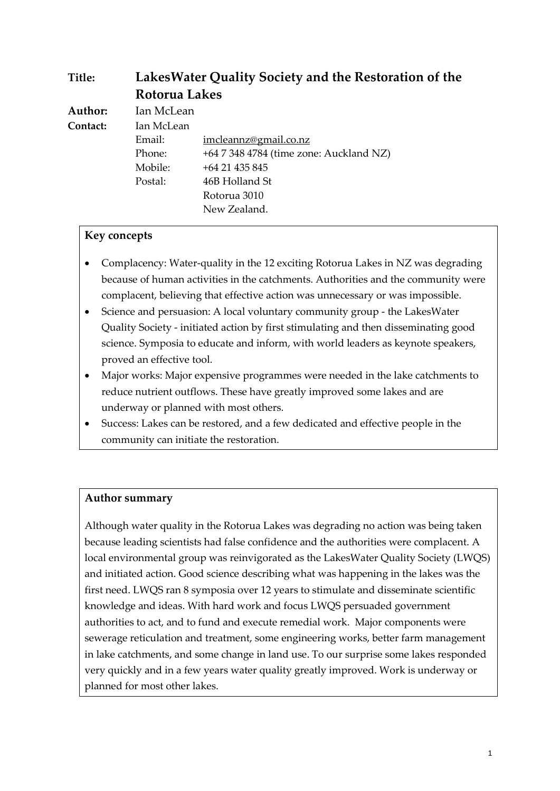| Title:   | Lakes Water Quality Society and the Restoration of the<br>Rotorua Lakes |                                         |
|----------|-------------------------------------------------------------------------|-----------------------------------------|
|          |                                                                         |                                         |
| Author:  | Ian McLean                                                              |                                         |
| Contact: | Ian McLean                                                              |                                         |
|          | Email:                                                                  | imcleannz@gmail.co.nz                   |
|          | Phone:                                                                  | +64 7 348 4784 (time zone: Auckland NZ) |
|          | Mobile:                                                                 | +64 21 435 845                          |
|          | Postal:                                                                 | 46B Holland St                          |
|          |                                                                         | Rotorua 3010                            |
|          |                                                                         | New Zealand.                            |

#### **Key concepts**

- Complacency: Water-quality in the 12 exciting Rotorua Lakes in NZ was degrading because of human activities in the catchments. Authorities and the community were complacent, believing that effective action was unnecessary or was impossible.
- Science and persuasion: A local voluntary community group the LakesWater Quality Society - initiated action by first stimulating and then disseminating good science. Symposia to educate and inform, with world leaders as keynote speakers, proved an effective tool.
- Major works: Major expensive programmes were needed in the lake catchments to reduce nutrient outflows. These have greatly improved some lakes and are underway or planned with most others.
- Success: Lakes can be restored, and a few dedicated and effective people in the community can initiate the restoration.

#### **Author summary**

Although water quality in the Rotorua Lakes was degrading no action was being taken because leading scientists had false confidence and the authorities were complacent. A local environmental group was reinvigorated as the LakesWater Quality Society (LWQS) and initiated action. Good science describing what was happening in the lakes was the first need. LWQS ran 8 symposia over 12 years to stimulate and disseminate scientific knowledge and ideas. With hard work and focus LWQS persuaded government authorities to act, and to fund and execute remedial work. Major components were sewerage reticulation and treatment, some engineering works, better farm management in lake catchments, and some change in land use. To our surprise some lakes responded very quickly and in a few years water quality greatly improved. Work is underway or planned for most other lakes.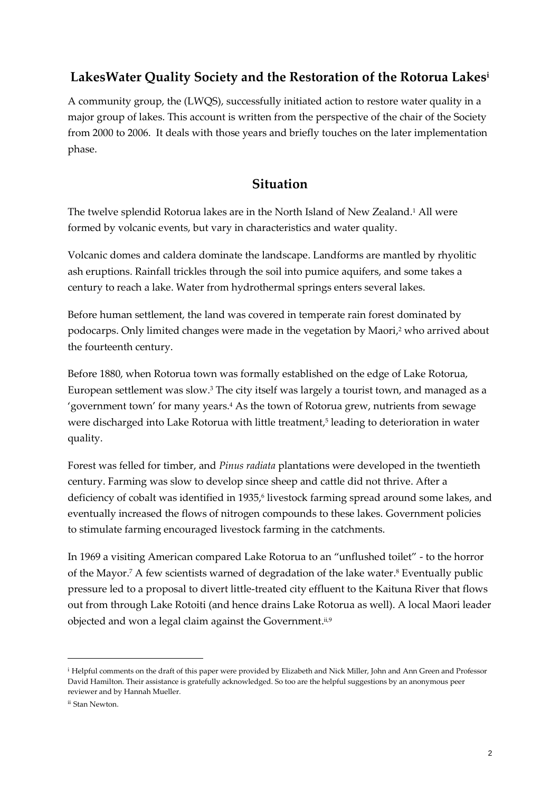## **LakesWater Quality Society and the Restoration of the Rotorua Lakes<sup>i</sup>**

A community group, the (LWQS), successfully initiated action to restore water quality in a major group of lakes. This account is written from the perspective of the chair of the Society from 2000 to 2006. It deals with those years and briefly touches on the later implementation phase.

#### **Situation**

The twelve splendid Rotorua lakes are in the North Island of New Zealand. <sup>1</sup> All were formed by volcanic events, but vary in characteristics and water quality.

Volcanic domes and caldera dominate the landscape. Landforms are mantled by rhyolitic ash eruptions. Rainfall trickles through the soil into pumice aquifers, and some takes a century to reach a lake. Water from hydrothermal springs enters several lakes.

Before human settlement, the land was covered in temperate rain forest dominated by podocarps. Only limited changes were made in the vegetation by Maori, <sup>2</sup> who arrived about the fourteenth century.

Before 1880, when Rotorua town was formally established on the edge of Lake Rotorua, European settlement was slow. <sup>3</sup> The city itself was largely a tourist town, and managed as a 'government town' for many years.<sup>4</sup> As the town of Rotorua grew, nutrients from sewage were discharged into Lake Rotorua with little treatment, 5 leading to deterioration in water quality.

Forest was felled for timber, and *Pinus radiata* plantations were developed in the twentieth century. Farming was slow to develop since sheep and cattle did not thrive. After a deficiency of cobalt was identified in 1935, 6 livestock farming spread around some lakes, and eventually increased the flows of nitrogen compounds to these lakes. Government policies to stimulate farming encouraged livestock farming in the catchments.

In 1969 a visiting American compared Lake Rotorua to an "unflushed toilet" - to the horror of the Mayor. <sup>7</sup> A few scientists warned of degradation of the lake water. <sup>8</sup> Eventually public pressure led to a proposal to divert little-treated city effluent to the Kaituna River that flows out from through Lake Rotoiti (and hence drains Lake Rotorua as well). A local Maori leader objected and won a legal claim against the Government.<sup>ii,9</sup>

<sup>i</sup> Helpful comments on the draft of this paper were provided by Elizabeth and Nick Miller, John and Ann Green and Professor David Hamilton. Their assistance is gratefully acknowledged. So too are the helpful suggestions by an anonymous peer reviewer and by Hannah Mueller.

ii Stan Newton.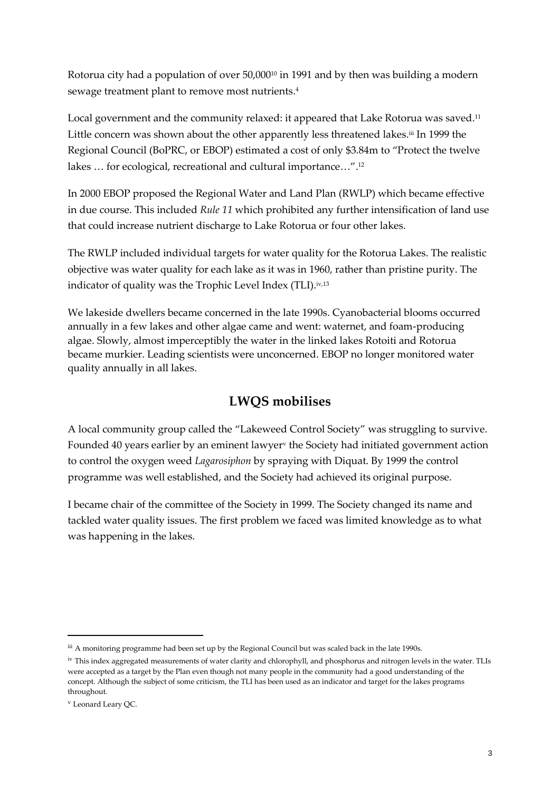Rotorua city had a population of over 50,000<sup>10</sup> in 1991 and by then was building a modern sewage treatment plant to remove most nutrients. 4

Local government and the community relaxed: it appeared that Lake Rotorua was saved.<sup>11</sup> Little concern was shown about the other apparently less threatened lakes.ii In 1999 the Regional Council (BoPRC, or EBOP) estimated a cost of only \$3.84m to "Protect the twelve lakes … for ecological, recreational and cultural importance…". 12

In 2000 EBOP proposed the Regional Water and Land Plan (RWLP) which became effective in due course. This included *Rule 11* which prohibited any further intensification of land use that could increase nutrient discharge to Lake Rotorua or four other lakes.

The RWLP included individual targets for water quality for the Rotorua Lakes. The realistic objective was water quality for each lake as it was in 1960, rather than pristine purity. The indicator of quality was the Trophic Level Index (TLI). iv,13

We lakeside dwellers became concerned in the late 1990s. Cyanobacterial blooms occurred annually in a few lakes and other algae came and went: waternet, and foam-producing algae. Slowly, almost imperceptibly the water in the linked lakes Rotoiti and Rotorua became murkier. Leading scientists were unconcerned. EBOP no longer monitored water quality annually in all lakes.

# **LWQS mobilises**

A local community group called the "Lakeweed Control Society" was struggling to survive. Founded 40 years earlier by an eminent lawyer<sup>v</sup> the Society had initiated government action to control the oxygen weed *Lagarosiphon* by spraying with Diquat. By 1999 the control programme was well established, and the Society had achieved its original purpose.

I became chair of the committee of the Society in 1999. The Society changed its name and tackled water quality issues. The first problem we faced was limited knowledge as to what was happening in the lakes.

iii A monitoring programme had been set up by the Regional Council but was scaled back in the late 1990s.

iv This index aggregated measurements of water clarity and chlorophyll, and phosphorus and nitrogen levels in the water. TLIs were accepted as a target by the Plan even though not many people in the community had a good understanding of the concept. Although the subject of some criticism, the TLI has been used as an indicator and target for the lakes programs throughout.

<sup>v</sup> Leonard Leary QC.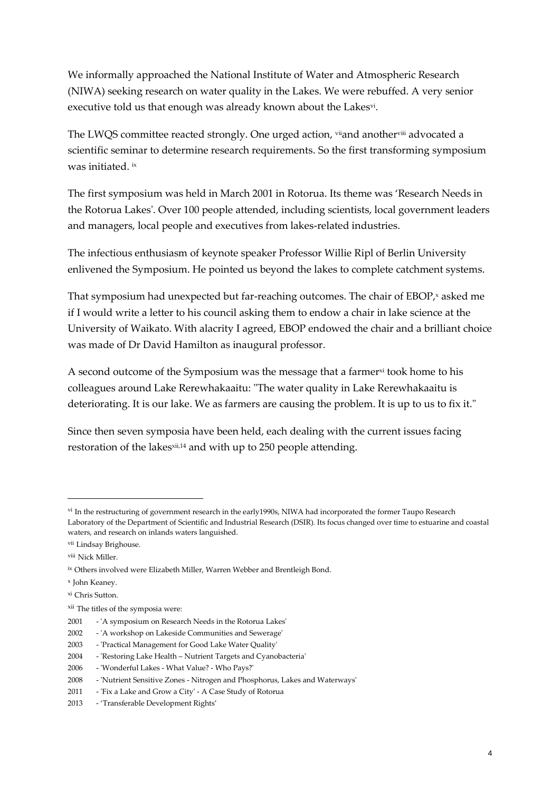We informally approached the National Institute of Water and Atmospheric Research (NIWA) seeking research on water quality in the Lakes. We were rebuffed. A very senior executive told us that enough was already known about the Lakes<sup>vi</sup>.

The LWQS committee reacted strongly. One urged action, viland anothervill advocated a scientific seminar to determine research requirements. So the first transforming symposium was initiated. ix

The first symposium was held in March 2001 in Rotorua. Its theme was 'Research Needs in the Rotorua Lakes'. Over 100 people attended, including scientists, local government leaders and managers, local people and executives from lakes-related industries.

The infectious enthusiasm of keynote speaker Professor Willie Ripl of Berlin University enlivened the Symposium. He pointed us beyond the lakes to complete catchment systems.

That symposium had unexpected but far-reaching outcomes. The chair of  $EBOP^{\prime}$  asked me if I would write a letter to his council asking them to endow a chair in lake science at the University of Waikato. With alacrity I agreed, EBOP endowed the chair and a brilliant choice was made of Dr David Hamilton as inaugural professor.

A second outcome of the Symposium was the message that a farmer  $\alpha$  took home to his colleagues around Lake Rerewhakaaitu: "The water quality in Lake Rerewhakaaitu is deteriorating. It is our lake. We as farmers are causing the problem. It is up to us to fix it."

Since then seven symposia have been held, each dealing with the current issues facing restoration of the lakes<sup>xii,14</sup> and with up to 250 people attending.

vi In the restructuring of government research in the early1990s, NIWA had incorporated the former Taupo Research Laboratory of the Department of Scientific and Industrial Research (DSIR). Its focus changed over time to estuarine and coastal waters, and research on inlands waters languished.

vii Lindsay Brighouse.

viii Nick Miller.

ix Others involved were Elizabeth Miller, Warren Webber and Brentleigh Bond.

x John Keaney.

xi Chris Sutton.

xii The titles of the symposia were:

<sup>2001</sup> - 'A symposium on Research Needs in the Rotorua Lakes'

<sup>2002</sup> - 'A workshop on Lakeside Communities and Sewerage'

<sup>2003</sup> - 'Practical Management for Good Lake Water Quality'

<sup>2004</sup> - 'Restoring Lake Health – Nutrient Targets and Cyanobacteria'

<sup>2006</sup> - 'Wonderful Lakes - What Value? - Who Pays?'

<sup>2008</sup> - 'Nutrient Sensitive Zones - Nitrogen and Phosphorus, Lakes and Waterways'

<sup>2011</sup> - 'Fix a Lake and Grow a City' - A Case Study of Rotorua

<sup>2013</sup> - 'Transferable Development Rights'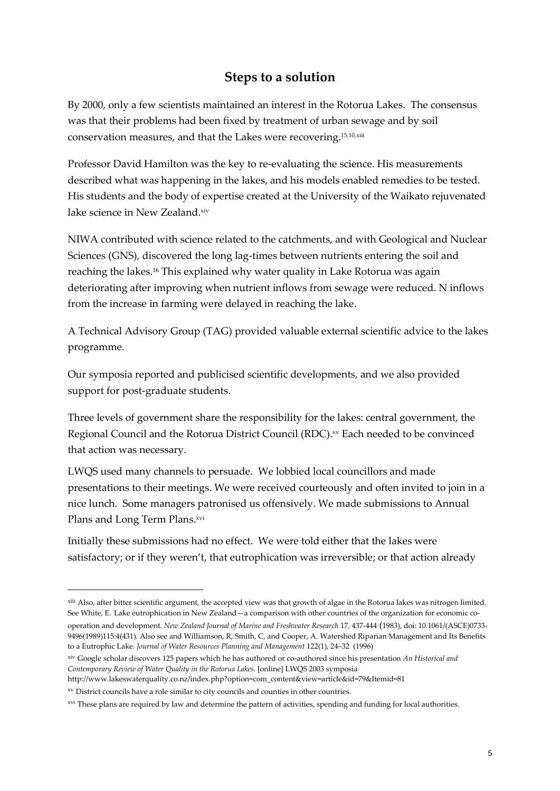### **Steps to a solution**

By 2000, only a few scientists maintained an interest in the Rotorua Lakes. The consensus was that their problems had been fixed by treatment of urban sewage and by soil conservation measures, and that the Lakes were recovering.15,10,xiii

Professor David Hamilton was the key to re-evaluating the science. His measurements described what was happening in the lakes, and his models enabled remedies to be tested. His students and the body of expertise created at the University of the Waikato rejuvenated lake science in New Zealand. xiv

NIWA contributed with science related to the catchments, and with Geological and Nuclear Sciences (GNS), discovered the long lag-times between nutrients entering the soil and reaching the lakes. <sup>16</sup> This explained why water quality in Lake Rotorua was again deteriorating after improving when nutrient inflows from sewage were reduced. N inflows from the increase in farming were delayed in reaching the lake.

A Technical Advisory Group (TAG) provided valuable external scientific advice to the lakes programme.

Our symposia reported and publicised scientific developments, and we also provided support for post-graduate students.

Three levels of government share the responsibility for the lakes: central government, the Regional Council and the Rotorua District Council (RDC). xv Each needed to be convinced that action was necessary.

LWQS used many channels to persuade. We lobbied local councillors and made presentations to their meetings. We were received courteously and often invited to join in a nice lunch. Some managers patronised us offensively. We made submissions to Annual Plans and Long Term Plans. xvi

Initially these submissions had no effect. We were told either that the lakes were satisfactory; or if they weren't, that eutrophication was irreversible; or that action already

http://www.lakeswaterquality.co.nz/index.php?option=com\_content&view=article&id=79&Itemid=81

<sup>&</sup>lt;sup>xiii</sup> Also, after bitter scientific argument, the accepted view was that growth of algae in the Rotorua lakes was nitrogen limited. See White, E. Lake eutrophication in New Zealand—a comparison with other countries of the organization for economic co-

[operation and development.](http://www.tandfonline.com/doi/abs/10.1080/00288330.1983.9516018) *[New Zealand Journal of Marine and Freshwater Research](http://www.tandfonline.com/toc/tnzm20/17/4)* 17, 437-444 (1983), doi: 10.1061/(ASCE)0733- 9496(1989)115:4(431). Also see and Williamson, R, Smith, C, and Cooper, A. Watershed Riparian Management and Its Benefits to a Eutrophic Lake*[. Journal of Water Resources Planning and Management](http://ascelibrary.org/toc/jwrmd5/122/1)* 122(1), 24–32 (1996)

xiv Google scholar discovers 125 papers which he has authored or co-authored since his presentation *An Historical and Contemporary Review of Water Quality in the Rotorua Lakes.* [online] LWQS 2003 symposia

xv District councils have a role similar to city councils and counties in other countries.

xvi These plans are required by law and determine the pattern of activities, spending and funding for local authorities.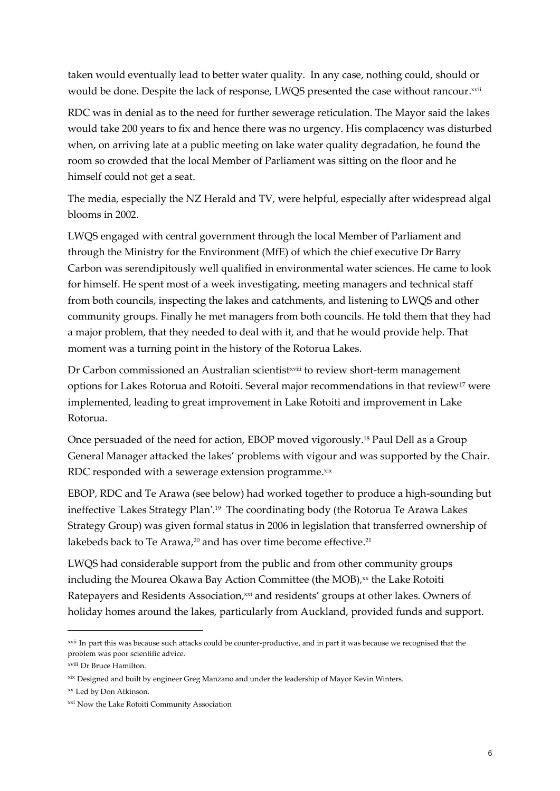taken would eventually lead to better water quality. In any case, nothing could, should or would be done. Despite the lack of response, LWQS presented the case without rancour.<sup>xvii</sup>

RDC was in denial as to the need for further sewerage reticulation. The Mayor said the lakes would take 200 years to fix and hence there was no urgency. His complacency was disturbed when, on arriving late at a public meeting on lake water quality degradation, he found the room so crowded that the local Member of Parliament was sitting on the floor and he himself could not get a seat.

The media, especially the NZ Herald and TV, were helpful, especially after widespread algal blooms in 2002.

LWQS engaged with central government through the local Member of Parliament and through the Ministry for the Environment (MfE) of which the chief executive Dr Barry Carbon was serendipitously well qualified in environmental water sciences. He came to look for himself. He spent most of a week investigating, meeting managers and technical staff from both councils, inspecting the lakes and catchments, and listening to LWQS and other community groups. Finally he met managers from both councils. He told them that they had a major problem, that they needed to deal with it, and that he would provide help. That moment was a turning point in the history of the Rotorua Lakes.

Dr Carbon commissioned an Australian scientistxviii to review short-term management options for Lakes Rotorua and Rotoiti. Several major recommendations in that review<sup>17</sup> were implemented, leading to great improvement in Lake Rotoiti and improvement in Lake Rotorua.

Once persuaded of the need for action, EBOP moved vigorously. <sup>18</sup> Paul Dell as a Group General Manager attacked the lakes' problems with vigour and was supported by the Chair. RDC responded with a sewerage extension programme. $^{\mathrm{xx}}$ 

EBOP, RDC and Te Arawa (see below) had worked together to produce a high-sounding but ineffective 'Lakes Strategy Plan'. 19 The coordinating body (the Rotorua Te Arawa Lakes Strategy Group) was given formal status in 2006 in legislation that transferred ownership of lakebeds back to Te Arawa, <sup>20</sup> and has over time become effective. 21

LWQS had considerable support from the public and from other community groups including the Mourea Okawa Bay Action Committee (the MOB), xx the Lake Rotoiti Ratepayers and Residents Association,<sup>xxi</sup> and residents' groups at other lakes. Owners of holiday homes around the lakes, particularly from Auckland, provided funds and support.

xvii In part this was because such attacks could be counter-productive, and in part it was because we recognised that the problem was poor scientific advice.

xviii Dr Bruce Hamilton.

xix Designed and built by engineer Greg Manzano and under the leadership of Mayor Kevin Winters.

xx Led by Don Atkinson.

<sup>&</sup>lt;sup>xxi</sup> Now the Lake Rotoiti Community Association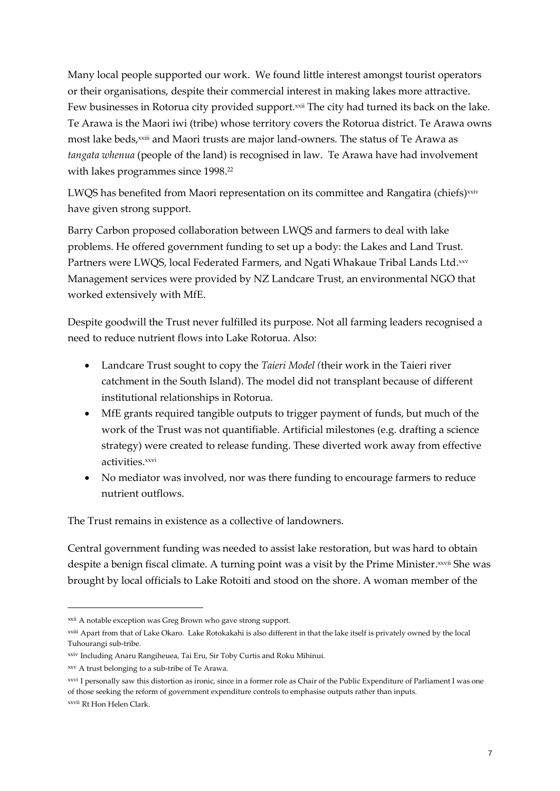Many local people supported our work. We found little interest amongst tourist operators or their organisations, despite their commercial interest in making lakes more attractive. Few businesses in Rotorua city provided support.<sup>xxii</sup> The city had turned its back on the lake. Te Arawa is the Maori iwi (tribe) whose territory covers the Rotorua district. Te Arawa owns most lake beds,<sup>xxiii</sup> and Maori trusts are major land-owners. The status of Te Arawa as *tangata whenua* (people of the land) is recognised in law. Te Arawa have had involvement with lakes programmes since 1998. 22

LWQS has benefited from Maori representation on its committee and Rangatira (chiefs)<sup>xxiv</sup> have given strong support.

Barry Carbon proposed collaboration between LWQS and farmers to deal with lake problems. He offered government funding to set up a body: the Lakes and Land Trust. Partners were LWQS, local Federated Farmers, and Ngati Whakaue Tribal Lands Ltd.××v Management services were provided by NZ Landcare Trust, an environmental NGO that worked extensively with MfE.

Despite goodwill the Trust never fulfilled its purpose. Not all farming leaders recognised a need to reduce nutrient flows into Lake Rotorua. Also:

- Landcare Trust sought to copy the *Taieri Model (*their work in the Taieri river catchment in the South Island). The model did not transplant because of different institutional relationships in Rotorua.
- MfE grants required tangible outputs to trigger payment of funds, but much of the work of the Trust was not quantifiable. Artificial milestones (e.g. drafting a science strategy) were created to release funding. These diverted work away from effective activities. xxvi
- No mediator was involved, nor was there funding to encourage farmers to reduce nutrient outflows.

The Trust remains in existence as a collective of landowners.

Central government funding was needed to assist lake restoration, but was hard to obtain despite a benign fiscal climate. A turning point was a visit by the Prime Minister.<sup>xxvii</sup> She was brought by local officials to Lake Rotoiti and stood on the shore. A woman member of the

xxii A notable exception was Greg Brown who gave strong support.

xxiii Apart from that of Lake Okaro. Lake Rotokakahi is also different in that the lake itself is privately owned by the local Tuhourangi sub-tribe.

xxiv Including Anaru Rangiheuea, Tai Eru, Sir Toby Curtis and Roku Mihinui.

xxv A trust belonging to a sub-tribe of Te Arawa.

xxvi I personally saw this distortion as ironic, since in a former role as Chair of the Public Expenditure of Parliament I was one of those seeking the reform of government expenditure controls to emphasise outputs rather than inputs. xxvii Rt Hon Helen Clark.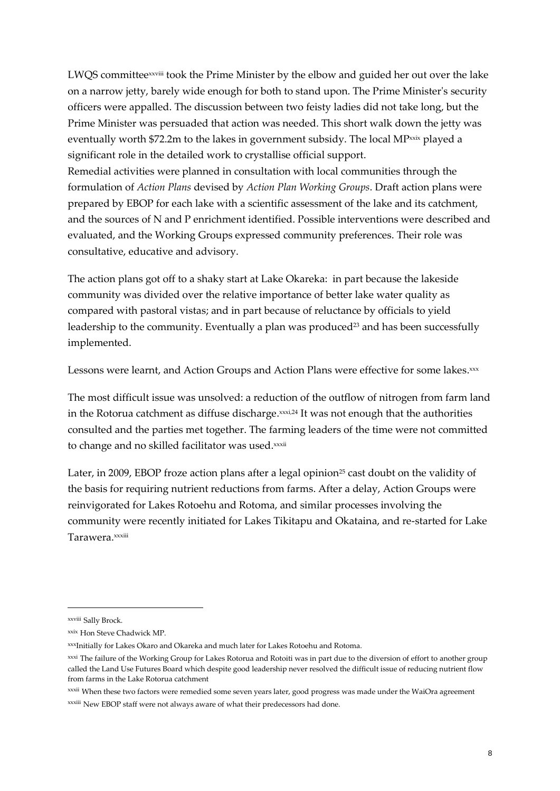LWQS committeexxviii took the Prime Minister by the elbow and guided her out over the lake on a narrow jetty, barely wide enough for both to stand upon. The Prime Minister's security officers were appalled. The discussion between two feisty ladies did not take long, but the Prime Minister was persuaded that action was needed. This short walk down the jetty was eventually worth  $$72.2m$  to the lakes in government subsidy. The local MP $x$ xix played a significant role in the detailed work to crystallise official support.

Remedial activities were planned in consultation with local communities through the formulation of *Action Plans* devised by *Action Plan Working Groups*. Draft action plans were prepared by EBOP for each lake with a scientific assessment of the lake and its catchment, and the sources of N and P enrichment identified. Possible interventions were described and evaluated, and the Working Groups expressed community preferences. Their role was consultative, educative and advisory.

The action plans got off to a shaky start at Lake Okareka: in part because the lakeside community was divided over the relative importance of better lake water quality as compared with pastoral vistas; and in part because of reluctance by officials to yield leadership to the community. Eventually a plan was produced<sup>23</sup> and has been successfully implemented.

Lessons were learnt, and Action Groups and Action Plans were effective for some lakes. xxx

The most difficult issue was unsolved: a reduction of the outflow of nitrogen from farm land in the Rotorua catchment as diffuse discharge. xxxi,24 It was not enough that the authorities consulted and the parties met together. The farming leaders of the time were not committed to change and no skilled facilitator was used.<sup>xxxii</sup>

Later, in 2009, EBOP froze action plans after a legal opinion<sup>25</sup> cast doubt on the validity of the basis for requiring nutrient reductions from farms. After a delay, Action Groups were reinvigorated for Lakes Rotoehu and Rotoma, and similar processes involving the community were recently initiated for Lakes Tikitapu and Okataina, and re-started for Lake Tarawera.<sup>xxxiii</sup>

xxviii Sally Brock.

xxix Hon Steve Chadwick MP.

xxxInitially for Lakes Okaro and Okareka and much later for Lakes Rotoehu and Rotoma.

xxxi The failure of the Working Group for Lakes Rotorua and Rotoiti was in part due to the diversion of effort to another group called the Land Use Futures Board which despite good leadership never resolved the difficult issue of reducing nutrient flow from farms in the Lake Rotorua catchment

xxxii When these two factors were remedied some seven years later, good progress was made under the WaiOra agreement xxxiii New EBOP staff were not always aware of what their predecessors had done.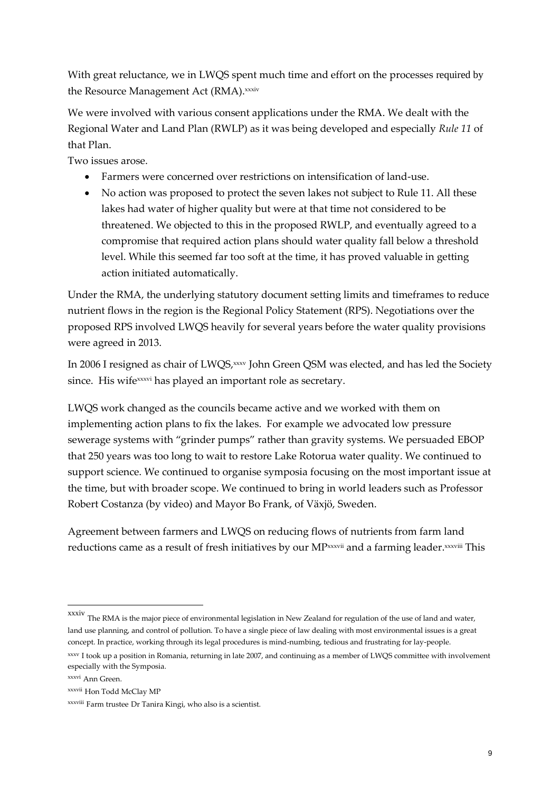With great reluctance, we in LWQS spent much time and effort on the processes required by the Resource Management Act (RMA). xxxiv

We were involved with various consent applications under the RMA. We dealt with the Regional Water and Land Plan (RWLP) as it was being developed and especially *Rule 11* of that Plan.

Two issues arose.

- Farmers were concerned over restrictions on intensification of land-use.
- No action was proposed to protect the seven lakes not subject to Rule 11. All these lakes had water of higher quality but were at that time not considered to be threatened. We objected to this in the proposed RWLP, and eventually agreed to a compromise that required action plans should water quality fall below a threshold level. While this seemed far too soft at the time, it has proved valuable in getting action initiated automatically.

Under the RMA, the underlying statutory document setting limits and timeframes to reduce nutrient flows in the region is the Regional Policy Statement (RPS). Negotiations over the proposed RPS involved LWQS heavily for several years before the water quality provisions were agreed in 2013.

In 2006 I resigned as chair of LWQS, xxxv John Green QSM was elected, and has led the Society since. His wifexxxvi has played an important role as secretary.

LWQS work changed as the councils became active and we worked with them on implementing action plans to fix the lakes. For example we advocated low pressure sewerage systems with "grinder pumps" rather than gravity systems. We persuaded EBOP that 250 years was too long to wait to restore Lake Rotorua water quality. We continued to support science. We continued to organise symposia focusing on the most important issue at the time, but with broader scope. We continued to bring in world leaders such as Professor Robert Costanza (by video) and Mayor Bo Frank, of Växjö, Sweden.

Agreement between farmers and LWQS on reducing flows of nutrients from farm land reductions came as a result of fresh initiatives by our MP¤××vii and a farming leader.×××viii This

xxxiv The RMA is the major piece of environmental legislation in New Zealand for regulation of the use of land and water, land use planning, and control of pollution. To have a single piece of law dealing with most environmental issues is a great concept. In practice, working through its legal procedures is mind-numbing, tedious and frustrating for lay-people.

xxxv I took up a position in Romania, returning in late 2007, and continuing as a member of LWQS committee with involvement especially with the Symposia.

xxxvi Ann Green.

xxxvii Hon Todd McClay MP

xxxviii Farm trustee Dr Tanira Kingi, who also is a scientist.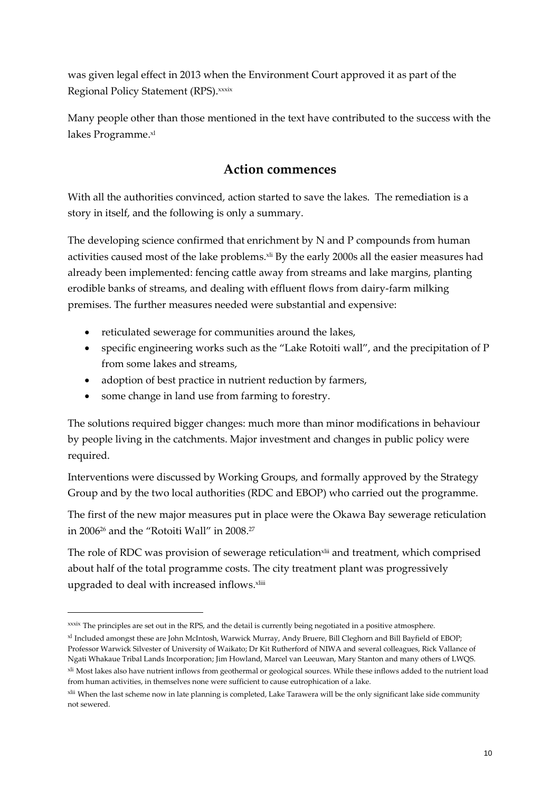was given legal effect in 2013 when the Environment Court approved it as part of the Regional Policy Statement (RPS). xxxix

Many people other than those mentioned in the text have contributed to the success with the lakes Programme. xl

#### **Action commences**

With all the authorities convinced, action started to save the lakes. The remediation is a story in itself, and the following is only a summary.

The developing science confirmed that enrichment by N and P compounds from human activities caused most of the lake problems.<sup>xii</sup> By the early 2000s all the easier measures had already been implemented: fencing cattle away from streams and lake margins, planting erodible banks of streams, and dealing with effluent flows from dairy-farm milking premises. The further measures needed were substantial and expensive:

- reticulated sewerage for communities around the lakes,
- specific engineering works such as the "Lake Rotoiti wall", and the precipitation of P from some lakes and streams,
- adoption of best practice in nutrient reduction by farmers,
- some change in land use from farming to forestry.

-

The solutions required bigger changes: much more than minor modifications in behaviour by people living in the catchments. Major investment and changes in public policy were required.

Interventions were discussed by Working Groups, and formally approved by the Strategy Group and by the two local authorities (RDC and EBOP) who carried out the programme.

The first of the new major measures put in place were the Okawa Bay sewerage reticulation in 2006<sup>26</sup> and the "Rotoiti Wall" in 2008. 27

The role of RDC was provision of sewerage reticulation<sup>xlii</sup> and treatment, which comprised about half of the total programme costs. The city treatment plant was progressively upgraded to deal with increased inflows.<sup>xliii</sup>

xxxix The principles are set out in the RPS, and the detail is currently being negotiated in a positive atmosphere.

xl Included amongst these are John McIntosh, Warwick Murray, Andy Bruere, Bill Cleghorn and Bill Bayfield of EBOP; Professor Warwick Silvester of University of Waikato; Dr Kit Rutherford of NIWA and several colleagues, Rick Vallance of Ngati Whakaue Tribal Lands Incorporation; Jim Howland, Marcel van Leeuwan, Mary Stanton and many others of LWQS.

<sup>&</sup>lt;sup>xli</sup> Most lakes also have nutrient inflows from geothermal or geological sources. While these inflows added to the nutrient load from human activities, in themselves none were sufficient to cause eutrophication of a lake.

<sup>&</sup>lt;sup>xlii</sup> When the last scheme now in late planning is completed, Lake Tarawera will be the only significant lake side community not sewered.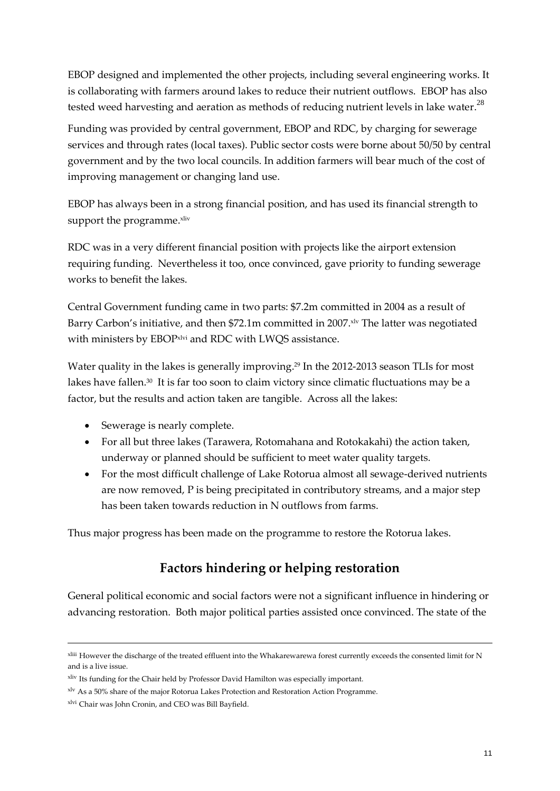EBOP designed and implemented the other projects, including several engineering works. It is collaborating with farmers around lakes to reduce their nutrient outflows. EBOP has also tested weed harvesting and aeration as methods of reducing nutrient levels in lake water. $^{28}$ 

Funding was provided by central government, EBOP and RDC, by charging for sewerage services and through rates (local taxes). Public sector costs were borne about 50/50 by central government and by the two local councils. In addition farmers will bear much of the cost of improving management or changing land use.

EBOP has always been in a strong financial position, and has used its financial strength to support the programme.<sup>xliv</sup>

RDC was in a very different financial position with projects like the airport extension requiring funding. Nevertheless it too, once convinced, gave priority to funding sewerage works to benefit the lakes.

Central Government funding came in two parts: \$7.2m committed in 2004 as a result of Barry Carbon's initiative, and then \$72.1m committed in 2007. xlv The latter was negotiated with ministers by EBOPxlvi and RDC with LWQS assistance.

Water quality in the lakes is generally improving. <sup>29</sup> In the 2012-2013 season TLIs for most lakes have fallen.<sup>30</sup> It is far too soon to claim victory since climatic fluctuations may be a factor, but the results and action taken are tangible. Across all the lakes:

- Sewerage is nearly complete.
- For all but three lakes (Tarawera, Rotomahana and Rotokakahi) the action taken, underway or planned should be sufficient to meet water quality targets.
- For the most difficult challenge of Lake Rotorua almost all sewage-derived nutrients are now removed, P is being precipitated in contributory streams, and a major step has been taken towards reduction in N outflows from farms.

Thus major progress has been made on the programme to restore the Rotorua lakes.

## **Factors hindering or helping restoration**

General political economic and social factors were not a significant influence in hindering or advancing restoration. Both major political parties assisted once convinced. The state of the

xliii However the discharge of the treated effluent into the Whakarewarewa forest currently exceeds the consented limit for N and is a live issue.

xliv Its funding for the Chair held by Professor David Hamilton was especially important.

xlv As a 50% share of the major Rotorua Lakes Protection and Restoration Action Programme.

xlvi Chair was John Cronin, and CEO was Bill Bayfield.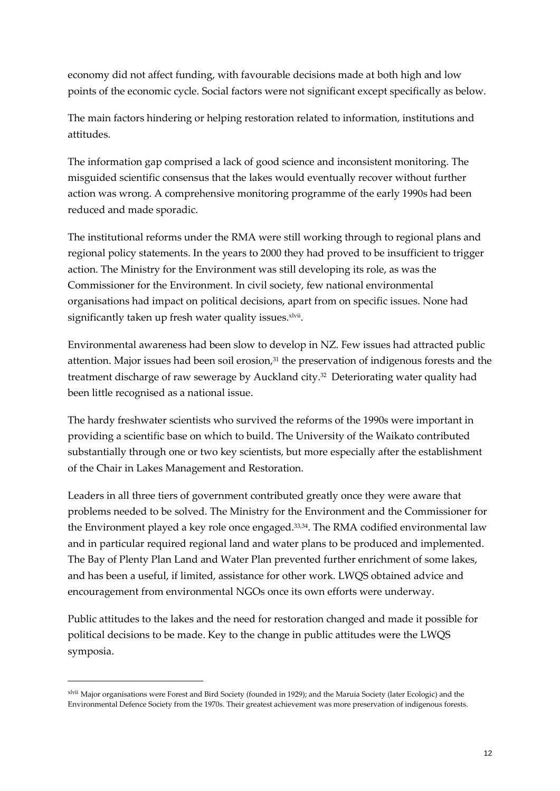economy did not affect funding, with favourable decisions made at both high and low points of the economic cycle. Social factors were not significant except specifically as below.

The main factors hindering or helping restoration related to information, institutions and attitudes.

The information gap comprised a lack of good science and inconsistent monitoring. The misguided scientific consensus that the lakes would eventually recover without further action was wrong. A comprehensive monitoring programme of the early 1990s had been reduced and made sporadic.

The institutional reforms under the RMA were still working through to regional plans and regional policy statements. In the years to 2000 they had proved to be insufficient to trigger action. The Ministry for the Environment was still developing its role, as was the Commissioner for the Environment. In civil society, few national environmental organisations had impact on political decisions, apart from on specific issues. None had significantly taken up fresh water quality issues. xlvii.

Environmental awareness had been slow to develop in NZ. Few issues had attracted public attention. Major issues had been soil erosion, $31$  the preservation of indigenous forests and the treatment discharge of raw sewerage by Auckland city. <sup>32</sup> Deteriorating water quality had been little recognised as a national issue.

The hardy freshwater scientists who survived the reforms of the 1990s were important in providing a scientific base on which to build. The University of the Waikato contributed substantially through one or two key scientists, but more especially after the establishment of the Chair in Lakes Management and Restoration.

Leaders in all three tiers of government contributed greatly once they were aware that problems needed to be solved. The Ministry for the Environment and the Commissioner for the Environment played a key role once engaged.<sup>33,34</sup>. The RMA codified environmental law and in particular required regional land and water plans to be produced and implemented. The Bay of Plenty Plan Land and Water Plan prevented further enrichment of some lakes, and has been a useful, if limited, assistance for other work. LWQS obtained advice and encouragement from environmental NGOs once its own efforts were underway.

Public attitudes to the lakes and the need for restoration changed and made it possible for political decisions to be made. Key to the change in public attitudes were the LWQS symposia.

xlvii Major organisations were Forest and Bird Society (founded in 1929); and the Maruia Society (later Ecologic) and the Environmental Defence Society from the 1970s. Their greatest achievement was more preservation of indigenous forests.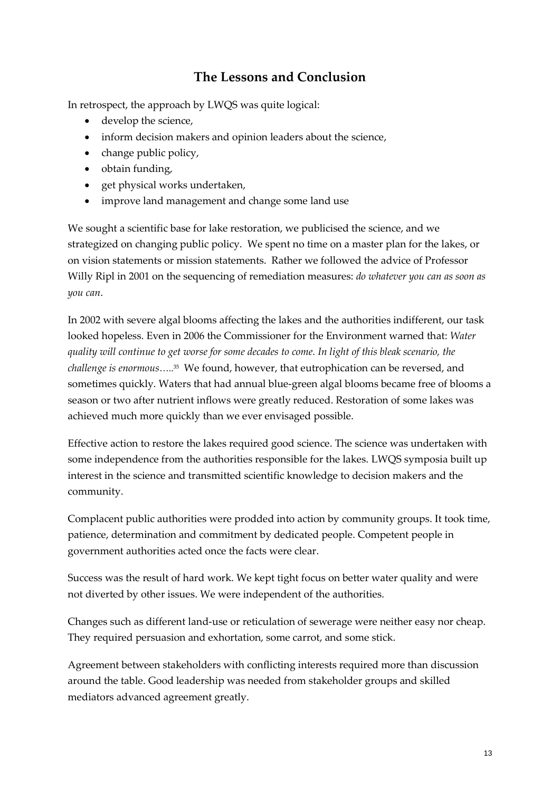# **The Lessons and Conclusion**

In retrospect, the approach by LWQS was quite logical:

- develop the science,
- inform decision makers and opinion leaders about the science,
- $\bullet$  change public policy,
- obtain funding,
- get physical works undertaken,
- improve land management and change some land use

We sought a scientific base for lake restoration, we publicised the science, and we strategized on changing public policy. We spent no time on a master plan for the lakes, or on vision statements or mission statements. Rather we followed the advice of Professor Willy Ripl in 2001 on the sequencing of remediation measures: *do whatever you can as soon as you can*.

In 2002 with severe algal blooms affecting the lakes and the authorities indifferent, our task looked hopeless. Even in 2006 the Commissioner for the Environment warned that: *Water quality will continue to get worse for some decades to come. In light of this bleak scenario, the challenge is enormous*….. <sup>35</sup> We found, however, that eutrophication can be reversed, and sometimes quickly. Waters that had annual blue-green algal blooms became free of blooms a season or two after nutrient inflows were greatly reduced. Restoration of some lakes was achieved much more quickly than we ever envisaged possible.

Effective action to restore the lakes required good science. The science was undertaken with some independence from the authorities responsible for the lakes. LWQS symposia built up interest in the science and transmitted scientific knowledge to decision makers and the community.

Complacent public authorities were prodded into action by community groups. It took time, patience, determination and commitment by dedicated people. Competent people in government authorities acted once the facts were clear.

Success was the result of hard work. We kept tight focus on better water quality and were not diverted by other issues. We were independent of the authorities.

Changes such as different land-use or reticulation of sewerage were neither easy nor cheap. They required persuasion and exhortation, some carrot, and some stick.

Agreement between stakeholders with conflicting interests required more than discussion around the table. Good leadership was needed from stakeholder groups and skilled mediators advanced agreement greatly.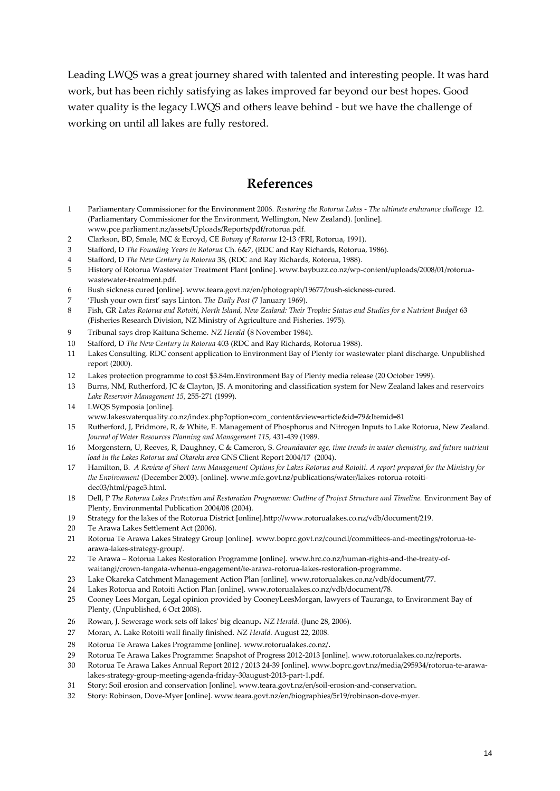Leading LWQS was a great journey shared with talented and interesting people. It was hard work, but has been richly satisfying as lakes improved far beyond our best hopes. Good water quality is the legacy LWQS and others leave behind - but we have the challenge of working on until all lakes are fully restored.

#### **References**

- 1 Parliamentary Commissioner for the Environment 2006. *Restoring the Rotorua Lakes - The ultimate endurance challenge* 12. (Parliamentary Commissioner for the Environment, Wellington, New Zealand). [online]. www.pce.parliament.nz/assets/Uploads/Reports/pdf/rotorua.pdf.
- 2 Clarkson, BD, Smale, MC & Ecroyd, CE *Botany of Rotorua* 12-13 *(*FRI, Rotorua, 1991).
- 3 Stafford, D *The Founding Years in Rotorua* Ch. 6&7, (RDC and Ray Richards, Rotorua, 1986).
- 4 Stafford, D *The New Century in Rotorua* 38, (RDC and Ray Richards, Rotorua, 1988).
- 5 History of Rotorua Wastewater Treatment Plant [online]. [www.baybuzz.co.nz/wp-content/uploads/2008/01/rotorua](http://www.baybuzz.co.nz/wp-content/uploads/2008/01/rotorua-wastewater-treatment.pdf)[wastewater-treatment.pdf.](http://www.baybuzz.co.nz/wp-content/uploads/2008/01/rotorua-wastewater-treatment.pdf)
- 6 Bush sickness cured [online]. www.teara.govt.nz/en/photograph/19677/bush-sickness-cured.
- 7 'Flush your own first' says Linton. *The Daily Post* (7 January 1969).
- 8 Fish, GR *Lakes Rotorua and Rotoiti, North Island, New Zealand: Their Trophic Status and Studies for a Nutrient Budget* 63 (Fisheries Research Division, NZ Ministry of Agriculture and Fisheries. 1975).
- 9 Tribunal says drop Kaituna Scheme. *NZ Herald* (8 November 1984).
- 10 Stafford, D *The New Century in Rotorua* 403 (RDC and Ray Richards, Rotorua 1988).
- 11 Lakes Consulting. RDC consent application to Environment Bay of Plenty for wastewater plant discharge. Unpublished report (2000).
- 12 Lakes protection programme to cost \$3.84m. Environment Bay of Plenty media release (20 October 1999).<br>13 Burns, NM. Rutherford, IC & Clayton, IS A monitoring and classification system for New Zealand lakes
- Burns, NM, Rutherford, JC & Clayton, JS. A monitoring and classification system for New Zealand lakes and reservoirs *Lake Reservoir Management 15*, 255-271 (1999).
- 14 LWQS Symposia [online].
- www.lakeswaterquality.co.nz/index.php?option=com\_content&view=article&id=79&Itemid=81
- 15 Rutherford, J, Pridmore, R, & White, E. Management of Phosphorus and Nitrogen Inputs to Lake Rotorua, New Zealand. *[Journal of Water Resources Planning and Management](http://ascelibrary.org/toc/jwrmd5/115/4) 115,* 431-439 (1989.
- 16 Morgenstern, U, Reeves, R, Daughney, C & Cameron, S. *Groundwater age, time trends in water chemistry, and future nutrient load in the Lakes Rotorua and Okareka area* GNS Client Report 2004/17 (2004).
- 17 Hamilton, B. *A Review of Short-term Management Options for Lakes Rotorua and Rotoiti*. *A report prepared for the Ministry for the Environment* (December 2003). [online]. [www.mfe.govt.nz/publications/water/lakes-rotorua-rotoiti](http://www.mfe.govt.nz/publications/water/lakes-rotorua-rotoiti-dec03/html/page3.html)[dec03/html/page3.html.](http://www.mfe.govt.nz/publications/water/lakes-rotorua-rotoiti-dec03/html/page3.html)
- 18 Dell, P *The Rotorua Lakes Protection and Restoration Programme: Outline of Project Structure and Timeline.* Environment Bay of Plenty, Environmental Publication 2004/08 (2004).
- 19 Strategy for the lakes of the Rotorua District [online].http://www.rotorualakes.co.nz/vdb/document/219.
- 20 Te Arawa Lakes Settlement Act (2006).
- 21 Rotorua Te Arawa Lakes Strategy Group [online]. www.boprc.govt.nz/council/committees-and-meetings/rotorua-tearawa-lakes-strategy-group/.
- 22 Te Arawa Rotorua Lakes Restoration Programme [online]. www.hrc.co.nz/human-rights-and-the-treaty-ofwaitangi/crown-tangata-whenua-engagement/te-arawa-rotorua-lakes-restoration-programme.
- 23 Lake Okareka Catchment Management Action Plan [online]. www.rotorualakes.co.nz/vdb/document/77.
- 24 Lakes Rotorua and Rotoiti Action Plan [online]. www.rotorualakes.co.nz/vdb/document/78.
- 25 Cooney Lees Morgan, Legal opinion provided by CooneyLeesMorgan, lawyers of Tauranga, to Environment Bay of Plenty, (Unpublished, 6 Oct 2008).
- 26 Rowan, J. Sewerage work sets off lakes' big cleanup**.** *NZ Herald.* (June 28, 2006).
- 27 Moran, A. Lake Rotoiti wall finally finished. *NZ Herald.* August 22, 2008.
- 28 Rotorua Te Arawa Lakes Programme [online]. www.rotorualakes.co.nz/.
- 29 Rotorua Te Arawa Lakes Programme: Snapshot of Progress 2012-2013 [online][. www.rotorualakes.co.nz/reports.](http://www.rotorualakes.co.nz/reports)
- 30 Rotorua Te Arawa Lakes Annual Report 2012 / 2013 24-39 [online]. www.boprc.govt.nz/media/295934/rotorua-te-arawalakes-strategy-group-meeting-agenda-friday-30august-2013-part-1.pdf.
- 31 Story: Soil erosion and conservation [online]. www.teara.govt.nz/en/soil-erosion-and-conservation.
- 32 Story: Robinson, Dove-Myer [online]. www.teara.govt.nz/en/biographies/5r19/robinson-dove-myer.